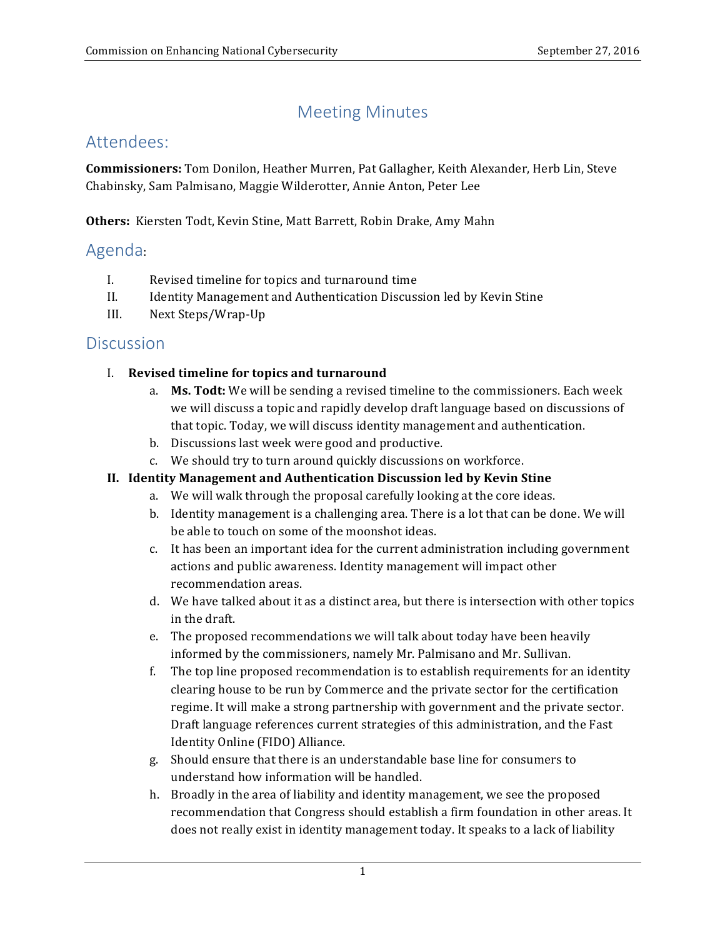# Meeting Minutes

## Attendees:

**Commissioners:** Tom Donilon, Heather Murren, Pat Gallagher, Keith Alexander, Herb Lin, Steve Chabinsky, Sam Palmisano, Maggie Wilderotter, Annie Anton, Peter Lee

**Others:** Kiersten Todt, Kevin Stine, Matt Barrett, Robin Drake, Amy Mahn

### Agenda:

- I. Revised timeline for topics and turnaround time
- II. Identity Management and Authentication Discussion led by Kevin Stine
- III. Next Steps/Wrap-Up

### **Discussion**

#### *I.* **Revised timeline for topics and turnaround**

- a. Ms. Todt: We will be sending a revised timeline to the commissioners. Each week we will discuss a topic and rapidly develop draft language based on discussions of that topic. Today, we will discuss identity management and authentication.
- b. Discussions last week were good and productive.
- c. We should try to turn around quickly discussions on workforce.

#### **II. Identity Management and Authentication Discussion led by Kevin Stine**

- a. We will walk through the proposal carefully looking at the core ideas.
- b. Identity management is a challenging area. There is a lot that can be done. We will be able to touch on some of the moonshot ideas.
- c. It has been an important idea for the current administration including government actions and public awareness. Identity management will impact other recommendation areas.
- d. We have talked about it as a distinct area, but there is intersection with other topics in the draft.
- e. The proposed recommendations we will talk about today have been heavily informed by the commissioners, namely Mr. Palmisano and Mr. Sullivan.
- f. The top line proposed recommendation is to establish requirements for an identity clearing house to be run by Commerce and the private sector for the certification regime. It will make a strong partnership with government and the private sector. Draft language references current strategies of this administration, and the Fast Identity Online (FIDO) Alliance.
- g. Should ensure that there is an understandable base line for consumers to understand how information will be handled.
- h. Broadly in the area of liability and identity management, we see the proposed recommendation that Congress should establish a firm foundation in other areas. It does not really exist in identity management today. It speaks to a lack of liability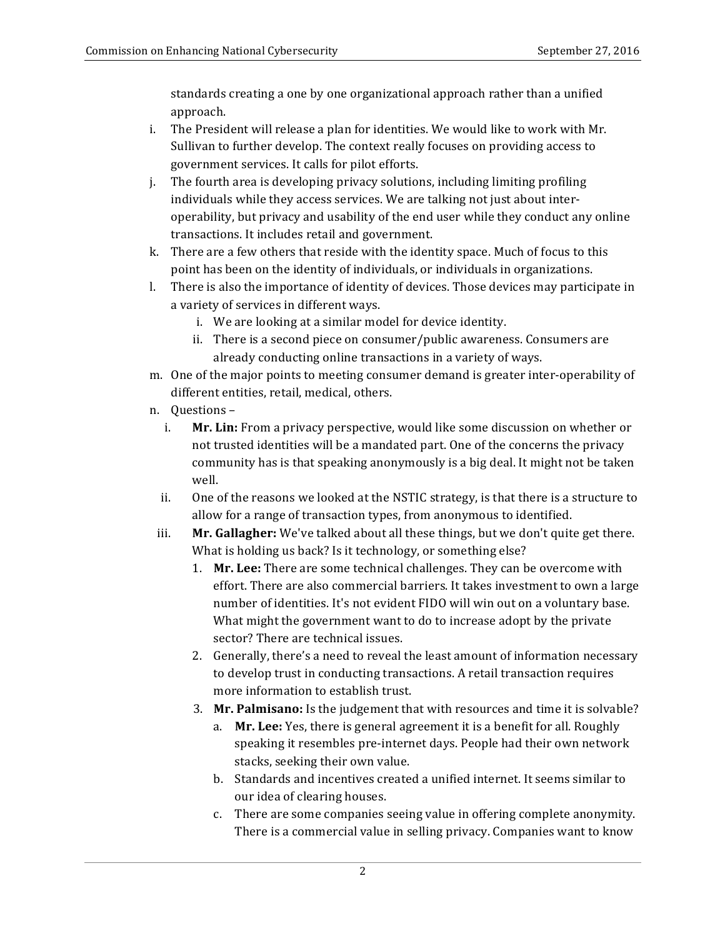standards creating a one by one organizational approach rather than a unified approach.

- i. The President will release a plan for identities. We would like to work with Mr. Sullivan to further develop. The context really focuses on providing access to government services. It calls for pilot efforts.
- individuals while they access services. We are talking not just about interoperability, but privacy and usability of the end user while they conduct any online transactions. It includes retail and government. j. The fourth area is developing privacy solutions, including limiting profiling
- k. There are a few others that reside with the identity space. Much of focus to this point has been on the identity of individuals, or individuals in organizations.
- l. There is also the importance of identity of devices. Those devices may participate in a variety of services in different ways.
	- i. We are looking at a similar model for device identity.
	- ii. There is a second piece on consumer/public awareness. Consumers are already conducting online transactions in a variety of ways.
- m. One of the major points to meeting consumer demand is greater inter-operability of different entities, retail, medical, others.
- n. Questions
	- i. Mr. Lin: From a privacy perspective, would like some discussion on whether or not trusted identities will be a mandated part. One of the concerns the privacy community has is that speaking anonymously is a big deal. It might not be taken well.
	- ii. One of the reasons we looked at the NSTIC strategy, is that there is a structure to allow for a range of transaction types, from anonymous to identified.
	- iii. Mr. Gallagher: We've talked about all these things, but we don't quite get there. What is holding us back? Is it technology, or something else?
		- 1. **Mr. Lee:** There are some technical challenges. They can be overcome with effort. There are also commercial barriers. It takes investment to own a large number of identities. It's not evident FIDO will win out on a voluntary base. What might the government want to do to increase adopt by the private sector? There are technical issues.
		- 2. Generally, there's a need to reveal the least amount of information necessary to develop trust in conducting transactions. A retail transaction requires more information to establish trust.
		- 3. Mr. Palmisano: Is the judgement that with resources and time it is solvable?
			- a. Mr. Lee: Yes, there is general agreement it is a benefit for all. Roughly speaking it resembles pre-internet days. People had their own network stacks, seeking their own value.
			- b. Standards and incentives created a unified internet. It seems similar to our idea of clearing houses.
			- c. There are some companies seeing value in offering complete anonymity. There is a commercial value in selling privacy. Companies want to know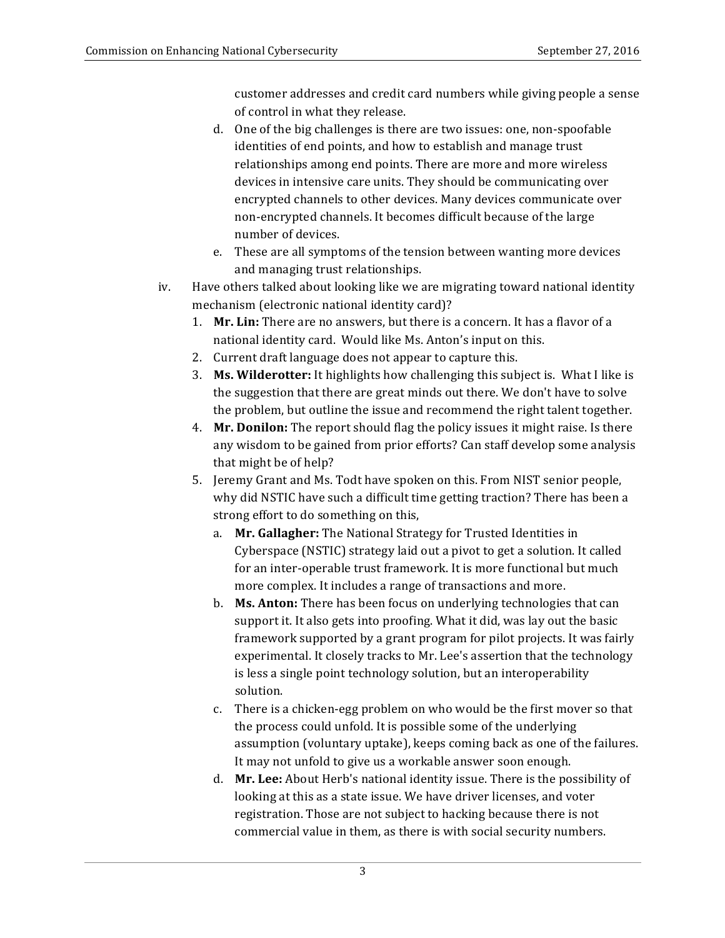customer addresses and credit card numbers while giving people a sense of control in what they release.

- d. One of the big challenges is there are two issues: one, non-spoofable identities of end points, and how to establish and manage trust relationships among end points. There are more and more wireless encrypted channels to other devices. Many devices communicate over number of devices. devices in intensive care units. They should be communicating over non-encrypted channels. It becomes difficult because of the large
- e. These are all symptoms of the tension between wanting more devices and managing trust relationships.
- iv. Have others talked about looking like we are migrating toward national identity mechanism (electronic national identity card)?
	- 1. Mr. Lin: There are no answers, but there is a concern. It has a flavor of a national identity card. Would like Ms. Anton's input on this.
	- 2. Current draft language does not appear to capture this.
	- 3. Ms. Wilderotter: It highlights how challenging this subject is. What I like is the suggestion that there are great minds out there. We don't have to solve the problem, but outline the issue and recommend the right talent together.
	- 4. **Mr. Donilon:** The report should flag the policy issues it might raise. Is there any wisdom to be gained from prior efforts? Can staff develop some analysis that might be of help?
	- 5. Jeremy Grant and Ms. Todt have spoken on this. From NIST senior people, why did NSTIC have such a difficult time getting traction? There has been a strong effort to do something on this,
		- a. Mr. Gallagher: The National Strategy for Trusted Identities in Cyberspace (NSTIC) strategy laid out a pivot to get a solution. It called for an inter-operable trust framework. It is more functional but much more complex. It includes a range of transactions and more.
		- b. Ms. Anton: There has been focus on underlying technologies that can support it. It also gets into proofing. What it did, was lay out the basic framework supported by a grant program for pilot projects. It was fairly experimental. It closely tracks to Mr. Lee's assertion that the technology is less a single point technology solution, but an interoperability solution.
		- c. There is a chicken-egg problem on who would be the first mover so that the process could unfold. It is possible some of the underlying assumption (voluntary uptake), keeps coming back as one of the failures. It may not unfold to give us a workable answer soon enough.
		- d. Mr. Lee: About Herb's national identity issue. There is the possibility of looking at this as a state issue. We have driver licenses, and voter registration. Those are not subject to hacking because there is not commercial value in them, as there is with social security numbers.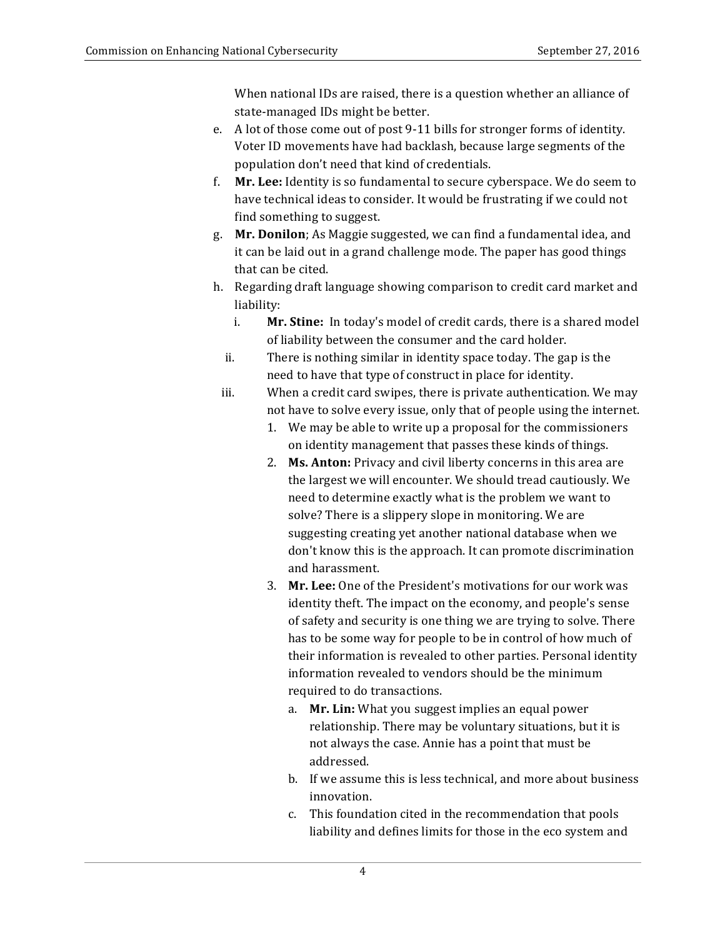When national IDs are raised, there is a question whether an alliance of state-managed IDs might be better.

- e. A lot of those come out of post 9-11 bills for stronger forms of identity. Voter ID movements have had backlash, because large segments of the population don't need that kind of credentials.
- f. **Mr. Lee:** Identity is so fundamental to secure cyberspace. We do seem to have technical ideas to consider. It would be frustrating if we could not find something to suggest.
- g. **Mr. Donilon**; As Maggie suggested, we can find a fundamental idea, and it can be laid out in a grand challenge mode. The paper has good things that can be cited.
- h. Regarding draft language showing comparison to credit card market and liability:
	- i. Mr. Stine: In today's model of credit cards, there is a shared model of liability between the consumer and the card holder.
	- ii. There is nothing similar in identity space today. The gap is the need to have that type of construct in place for identity.
	- iii. When a credit card swipes, there is private authentication. We may not have to solve every issue, only that of people using the internet.
		- 1. We may be able to write up a proposal for the commissioners on identity management that passes these kinds of things.
		- 2. **Ms. Anton:** Privacy and civil liberty concerns in this area are the largest we will encounter. We should tread cautiously. We need to determine exactly what is the problem we want to solve? There is a slippery slope in monitoring. We are suggesting creating yet another national database when we don't know this is the approach. It can promote discrimination and harassment.
		- 3. Mr. Lee: One of the President's motivations for our work was identity theft. The impact on the economy, and people's sense of safety and security is one thing we are trying to solve. There has to be some way for people to be in control of how much of their information is revealed to other parties. Personal identity information revealed to vendors should be the minimum required to do transactions.
			- a. **Mr. Lin:** What you suggest implies an equal power relationship. There may be voluntary situations, but it is not always the case. Annie has a point that must be addressed.
			- b. If we assume this is less technical, and more about business innovation.
			- c. This foundation cited in the recommendation that pools liability and defines limits for those in the eco system and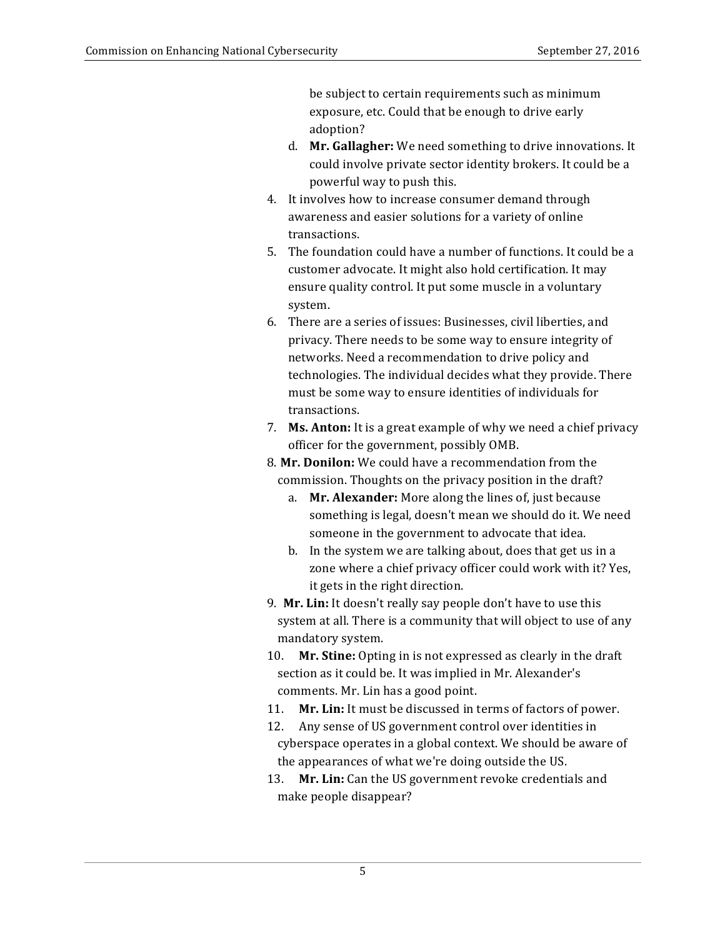be subject to certain requirements such as minimum exposure, etc. Could that be enough to drive early adoption?

- d. **Mr. Gallagher:** We need something to drive innovations. It could involve private sector identity brokers. It could be a powerful way to push this.
- 4. It involves how to increase consumer demand through awareness and easier solutions for a variety of online transactions.
- 5. The foundation could have a number of functions. It could be a customer advocate. It might also hold certification. It may ensure quality control. It put some muscle in a voluntary system.
- 6. There are a series of issues: Businesses, civil liberties, and privacy. There needs to be some way to ensure integrity of networks. Need a recommendation to drive policy and technologies. The individual decides what they provide. There must be some way to ensure identities of individuals for transactions.
- 7. **Ms. Anton:** It is a great example of why we need a chief privacy officer for the government, possibly OMB.
- 8. Mr. Donilon: We could have a recommendation from the commission. Thoughts on the privacy position in the draft?
	- a. Mr. Alexander: More along the lines of, just because something is legal, doesn't mean we should do it. We need someone in the government to advocate that idea.
	- b. In the system we are talking about, does that get us in a zone where a chief privacy officer could work with it? Yes, it gets in the right direction.
- 9. Mr. Lin: It doesn't really say people don't have to use this system at all. There is a community that will object to use of any mandatory system.
- 10. **Mr. Stine:** Opting in is not expressed as clearly in the draft section as it could be. It was implied in Mr. Alexander's comments. Mr. Lin has a good point.
- 11. **Mr. Lin:** It must be discussed in terms of factors of power.
- 12. Any sense of US government control over identities in cyberspace operates in a global context. We should be aware of the appearances of what we're doing outside the US.
- 13. Mr. Lin: Can the US government revoke credentials and make people disappear?